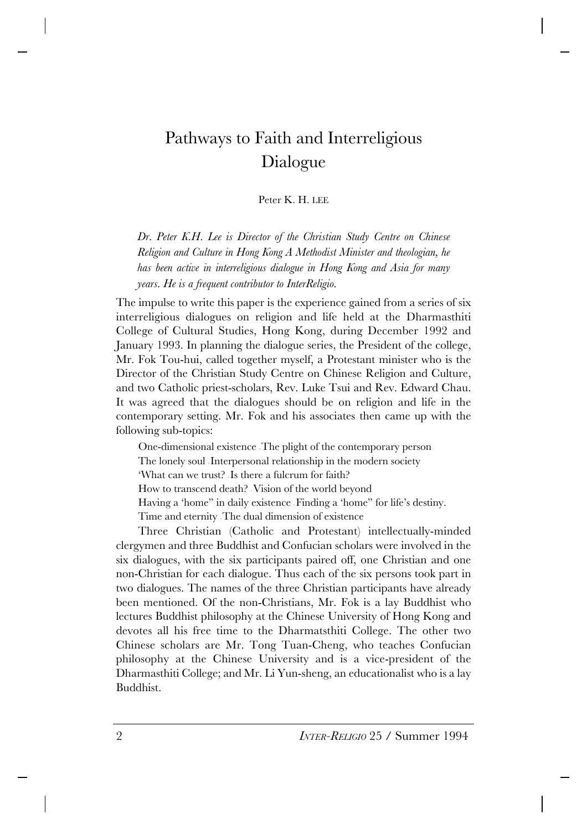# Pathways to Faith and Interreligious Dialogue

Peter K. H. LEE

*Dr. Peter K.H. Lee is Director of the Christian Study Centre on Chinese Religion and Culture in Hong Kong A Methodist Minister and theologian, he has been active in interreligious dialogue in Hong Kong and Asia for many years. He is a frequent contributor to InterReligio.*

The impulse to write this paper is the experience gained from a series of six interreligious dialogues on religion and life held at the Dharmasthiti College of Cultural Studies, Hong Kong, during December 1992 and January 1993. In planning the dialogue series, the President of the college, Mr. Fok Tou-hui, called together myself, a Protestant minister who is the Director of the Christian Study Centre on Chinese Religion and Culture, and two Catholic priest-scholars, Rev. Luke Tsui and Rev. Edward Chau. It was agreed that the dialogues should be on religion and life in the contemporary setting. Mr. Fok and his associates then came up with the following sub-topics:

One-dimensional existence - The plight of the contemporary person

The lonely soul - Interpersonal relationship in the modern society

'What can we trust? - Is there a fulcrum for faith?

How to transcend death? - Vision of the world beyond

Having a 'home" in daily existence - Finding a 'home" for life's destiny.

Time and eternity - The dual dimension of existence

Three Christian (Catholic and Protestant) intellectually-minded clergymen and three Buddhist and Confucian scholars were involved in the six dialogues, with the six participants paired off, one Christian and one non-Christian for each dialogue. Thus each of the six persons took part in two dialogues. The names of the three Christian participants have already been mentioned. Of the non-Christians, Mr. Fok is a lay Buddhist who lectures Buddhist philosophy at the Chinese University of Hong Kong and devotes all his free time to the Dharmatsthiti College. The other two Chinese scholars are Mr. Tong Tuan-Cheng, who teaches Confucian philosophy at the Chinese University and is a vice-president of the Dharmasthiti College; and Mr. Li Yun-sheng, an educationalist who is a lay Buddhist.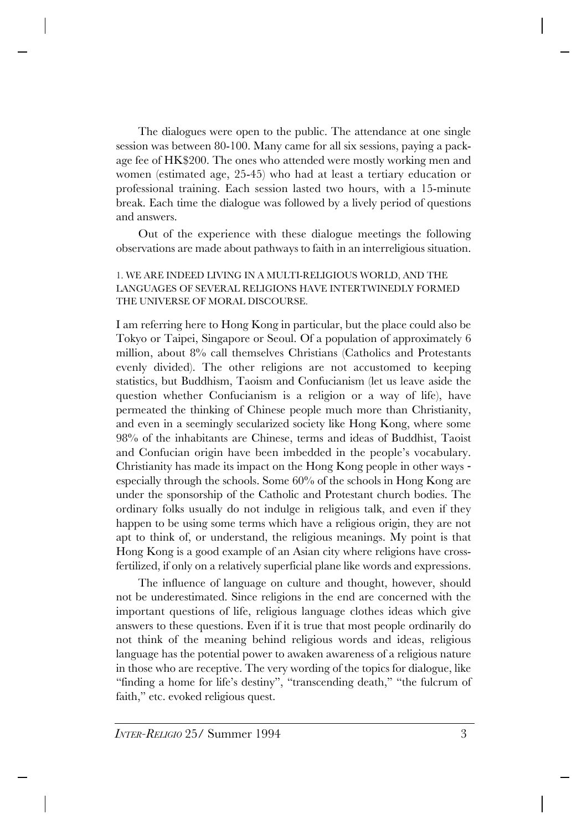The dialogues were open to the public. The attendance at one single session was between 80-100. Many came for all six sessions, paying a package fee of HK\$200. The ones who attended were mostly working men and women (estimated age, 25-45) who had at least a tertiary education or professional training. Each session lasted two hours, with a 15-minute break. Each time the dialogue was followed by a lively period of questions and answers.

Out of the experience with these dialogue meetings the following observations are made about pathways to faith in an interreligious situation.

### 1. WE ARE INDEED LIVING IN A MULTI-RELIGIOUS WORLD, AND THE LANGUAGES OF SEVERAL RELIGIONS HAVE INTERTWINEDLY FORMED THE UNIVERSE OF MORAL DISCOURSE.

I am referring here to Hong Kong in particular, but the place could also be Tokyo or Taipei, Singapore or Seoul. Of a population of approximately 6 million, about 8% call themselves Christians (Catholics and Protestants evenly divided). The other religions are not accustomed to keeping statistics, but Buddhism, Taoism and Confucianism (let us leave aside the question whether Confucianism is a religion or a way of life), have permeated the thinking of Chinese people much more than Christianity, and even in a seemingly secularized society like Hong Kong, where some 98% of the inhabitants are Chinese, terms and ideas of Buddhist, Taoist and Confucian origin have been imbedded in the people's vocabulary. Christianity has made its impact on the Hong Kong people in other ways especially through the schools. Some 60% of the schools in Hong Kong are under the sponsorship of the Catholic and Protestant church bodies. The ordinary folks usually do not indulge in religious talk, and even if they happen to be using some terms which have a religious origin, they are not apt to think of, or understand, the religious meanings. My point is that Hong Kong is a good example of an Asian city where religions have crossfertilized, if only on a relatively superficial plane like words and expressions.

The influence of language on culture and thought, however, should not be underestimated. Since religions in the end are concerned with the important questions of life, religious language clothes ideas which give answers to these questions. Even if it is true that most people ordinarily do not think of the meaning behind religious words and ideas, religious language has the potential power to awaken awareness of a religious nature in those who are receptive. The very wording of the topics for dialogue, like "finding a home for life's destiny", "transcending death," "the fulcrum of faith," etc. evoked religious quest.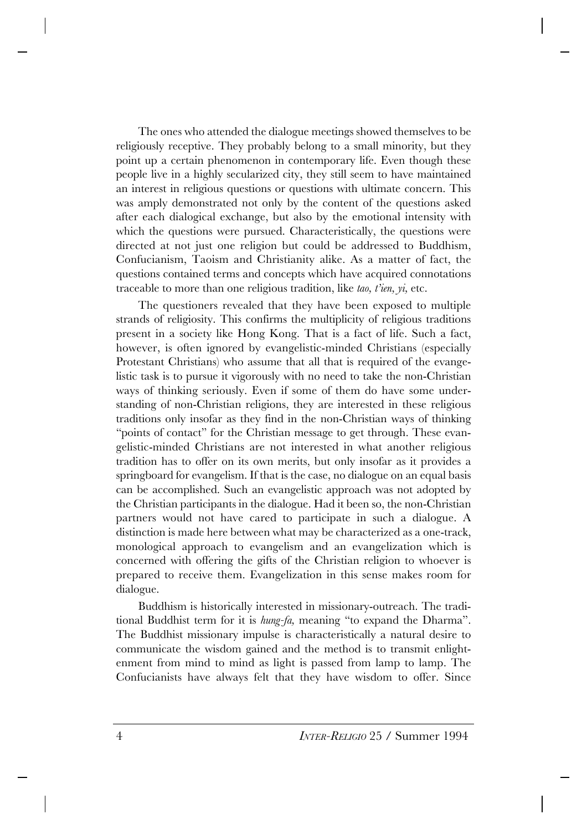The ones who attended the dialogue meetings showed themselves to be religiously receptive. They probably belong to a small minority, but they point up a certain phenomenon in contemporary life. Even though these people live in a highly secularized city, they still seem to have maintained an interest in religious questions or questions with ultimate concern. This was amply demonstrated not only by the content of the questions asked after each dialogical exchange, but also by the emotional intensity with which the questions were pursued. Characteristically, the questions were directed at not just one religion but could be addressed to Buddhism, Confucianism, Taoism and Christianity alike. As a matter of fact, the questions contained terms and concepts which have acquired connotations traceable to more than one religious tradition, like *tao, t'ien, yi,* etc.

The questioners revealed that they have been exposed to multiple strands of religiosity. This confirms the multiplicity of religious traditions present in a society like Hong Kong. That is a fact of life. Such a fact, however, is often ignored by evangelistic-minded Christians (especially Protestant Christians) who assume that all that is required of the evangelistic task is to pursue it vigorously with no need to take the non-Christian ways of thinking seriously. Even if some of them do have some understanding of non-Christian religions, they are interested in these religious traditions only insofar as they find in the non-Christian ways of thinking "points of contact" for the Christian message to get through. These evangelistic-minded Christians are not interested in what another religious tradition has to offer on its own merits, but only insofar as it provides a springboard for evangelism. If that is the case, no dialogue on an equal basis can be accomplished. Such an evangelistic approach was not adopted by the Christian participants in the dialogue. Had it been so, the non-Christian partners would not have cared to participate in such a dialogue. A distinction is made here between what may be characterized as a one-track, monological approach to evangelism and an evangelization which is concerned with offering the gifts of the Christian religion to whoever is prepared to receive them. Evangelization in this sense makes room for dialogue.

Buddhism is historically interested in missionary-outreach. The traditional Buddhist term for it is *hung-fa,* meaning "to expand the Dharma". The Buddhist missionary impulse is characteristically a natural desire to communicate the wisdom gained and the method is to transmit enlightenment from mind to mind as light is passed from lamp to lamp. The Confucianists have always felt that they have wisdom to offer. Since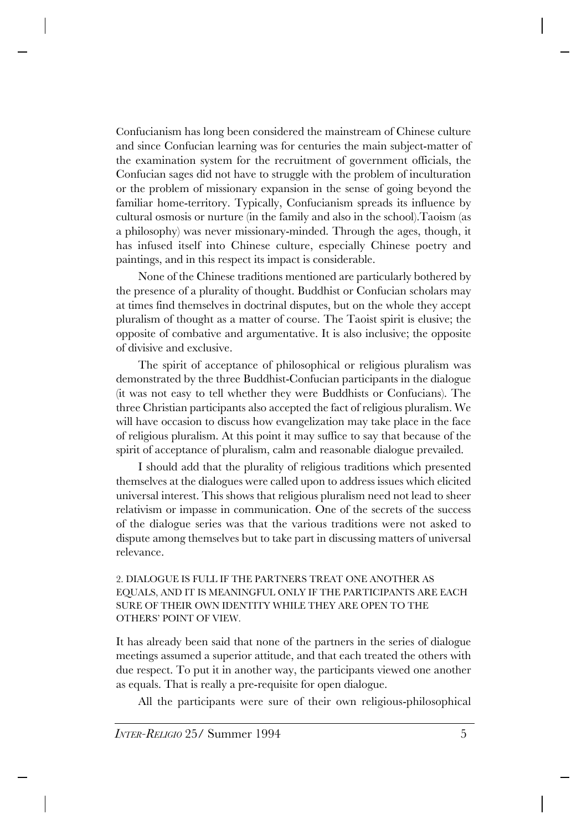Confucianism has long been considered the mainstream of Chinese culture and since Confucian learning was for centuries the main subject-matter of the examination system for the recruitment of government officials, the Confucian sages did not have to struggle with the problem of inculturation or the problem of missionary expansion in the sense of going beyond the familiar home-territory. Typically, Confucianism spreads its influence by cultural osmosis or nurture (in the family and also in the school).Taoism (as a philosophy) was never missionary-minded. Through the ages, though, it has infused itself into Chinese culture, especially Chinese poetry and paintings, and in this respect its impact is considerable.

None of the Chinese traditions mentioned are particularly bothered by the presence of a plurality of thought. Buddhist or Confucian scholars may at times find themselves in doctrinal disputes, but on the whole they accept pluralism of thought as a matter of course. The Taoist spirit is elusive; the opposite of combative and argumentative. It is also inclusive; the opposite of divisive and exclusive.

The spirit of acceptance of philosophical or religious pluralism was demonstrated by the three Buddhist-Confucian participants in the dialogue (it was not easy to tell whether they were Buddhists or Confucians). The three Christian participants also accepted the fact of religious pluralism. We will have occasion to discuss how evangelization may take place in the face of religious pluralism. At this point it may suffice to say that because of the spirit of acceptance of pluralism, calm and reasonable dialogue prevailed.

I should add that the plurality of religious traditions which presented themselves at the dialogues were called upon to address issues which elicited universal interest. This shows that religious pluralism need not lead to sheer relativism or impasse in communication. One of the secrets of the success of the dialogue series was that the various traditions were not asked to dispute among themselves but to take part in discussing matters of universal relevance.

### 2. DIALOGUE IS FULL IF THE PARTNERS TREAT ONE ANOTHER AS EQUALS, AND IT IS MEANINGFUL ONLY IF THE PARTICIPANTS ARE EACH SURE OF THEIR OWN IDENTITY WHILE THEY ARE OPEN TO THE OTHERS' POINT OF VIEW.

It has already been said that none of the partners in the series of dialogue meetings assumed a superior attitude, and that each treated the others with due respect. To put it in another way, the participants viewed one another as equals. That is really a pre-requisite for open dialogue.

All the participants were sure of their own religious-philosophical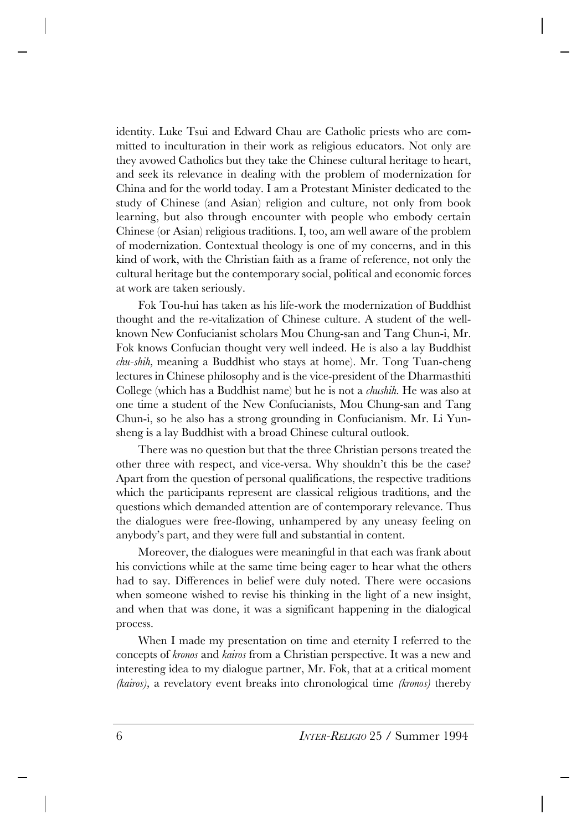identity. Luke Tsui and Edward Chau are Catholic priests who are committed to inculturation in their work as religious educators. Not only are they avowed Catholics but they take the Chinese cultural heritage to heart, and seek its relevance in dealing with the problem of modernization for China and for the world today. I am a Protestant Minister dedicated to the study of Chinese (and Asian) religion and culture, not only from book learning, but also through encounter with people who embody certain Chinese (or Asian) religious traditions. I, too, am well aware of the problem of modernization. Contextual theology is one of my concerns, and in this kind of work, with the Christian faith as a frame of reference, not only the cultural heritage but the contemporary social, political and economic forces at work are taken seriously.

Fok Tou-hui has taken as his life-work the modernization of Buddhist thought and the re-vitalization of Chinese culture. A student of the wellknown New Confucianist scholars Mou Chung-san and Tang Chun-i, Mr. Fok knows Confucian thought very well indeed. He is also a lay Buddhist *chu-shih,* meaning a Buddhist who stays at home). Mr. Tong Tuan-cheng lectures in Chinese philosophy and is the vice-president of the Dharmasthiti College (which has a Buddhist name) but he is not a *chushih.* He was also at one time a student of the New Confucianists, Mou Chung-san and Tang Chun-i, so he also has a strong grounding in Confucianism. Mr. Li Yunsheng is a lay Buddhist with a broad Chinese cultural outlook.

There was no question but that the three Christian persons treated the other three with respect, and vice-versa. Why shouldn't this be the case? Apart from the question of personal qualifications, the respective traditions which the participants represent are classical religious traditions, and the questions which demanded attention are of contemporary relevance. Thus the dialogues were free-flowing, unhampered by any uneasy feeling on anybody's part, and they were full and substantial in content.

Moreover, the dialogues were meaningful in that each was frank about his convictions while at the same time being eager to hear what the others had to say. Differences in belief were duly noted. There were occasions when someone wished to revise his thinking in the light of a new insight, and when that was done, it was a significant happening in the dialogical process.

When I made my presentation on time and eternity I referred to the concepts of *kronos* and *kairos* from a Christian perspective. It was a new and interesting idea to my dialogue partner, Mr. Fok, that at a critical moment *(kairos),* a revelatory event breaks into chronological time *(kronos)* thereby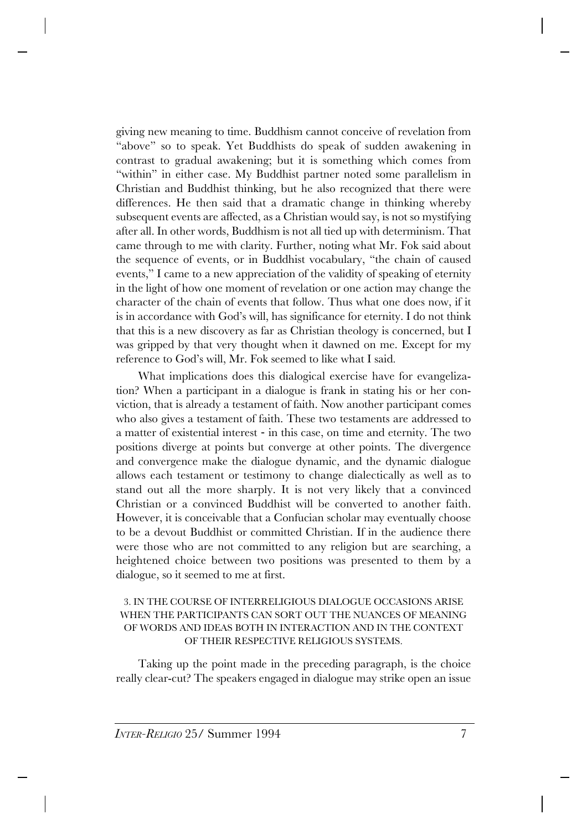giving new meaning to time. Buddhism cannot conceive of revelation from "above" so to speak. Yet Buddhists do speak of sudden awakening in contrast to gradual awakening; but it is something which comes from "within" in either case. My Buddhist partner noted some parallelism in Christian and Buddhist thinking, but he also recognized that there were differences. He then said that a dramatic change in thinking whereby subsequent events are affected, as a Christian would say, is not so mystifying after all. In other words, Buddhism is not all tied up with determinism. That came through to me with clarity. Further, noting what Mr. Fok said about the sequence of events, or in Buddhist vocabulary, "the chain of caused events," I came to a new appreciation of the validity of speaking of eternity in the light of how one moment of revelation or one action may change the character of the chain of events that follow. Thus what one does now, if it is in accordance with God's will, has significance for eternity. I do not think that this is a new discovery as far as Christian theology is concerned, but I was gripped by that very thought when it dawned on me. Except for my reference to God's will, Mr. Fok seemed to like what I said.

What implications does this dialogical exercise have for evangelization? When a participant in a dialogue is frank in stating his or her conviction, that is already a testament of faith. Now another participant comes who also gives a testament of faith. These two testaments are addressed to a matter of existential interest - in this case, on time and eternity. The two positions diverge at points but converge at other points. The divergence and convergence make the dialogue dynamic, and the dynamic dialogue allows each testament or testimony to change dialectically as well as to stand out all the more sharply. It is not very likely that a convinced Christian or a convinced Buddhist will be converted to another faith. However, it is conceivable that a Confucian scholar may eventually choose to be a devout Buddhist or committed Christian. If in the audience there were those who are not committed to any religion but are searching, a heightened choice between two positions was presented to them by a dialogue, so it seemed to me at first.

#### 3. IN THE COURSE OF INTERRELIGIOUS DIALOGUE OCCASIONS ARISE WHEN THE PARTICIPANTS CAN SORT OUT THE NUANCES OF MEANING OF WORDS AND IDEAS BOTH IN INTERACTION AND IN THE CONTEXT OF THEIR RESPECTIVE RELIGIOUS SYSTEMS.

Taking up the point made in the preceding paragraph, is the choice really clear-cut? The speakers engaged in dialogue may strike open an issue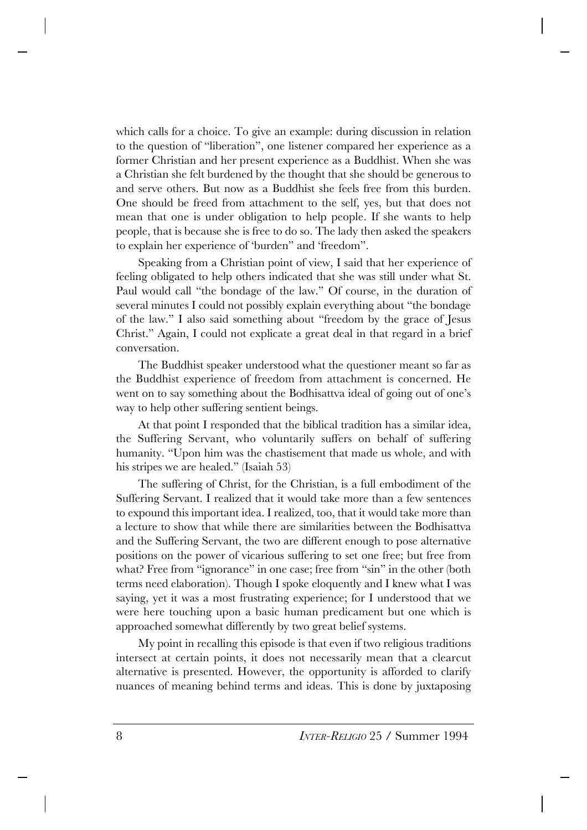which calls for a choice. To give an example: during discussion in relation to the question of "liberation", one listener compared her experience as a former Christian and her present experience as a Buddhist. When she was a Christian she felt burdened by the thought that she should be generous to and serve others. But now as a Buddhist she feels free from this burden. One should be freed from attachment to the self, yes, but that does not mean that one is under obligation to help people. If she wants to help people, that is because she is free to do so. The lady then asked the speakers to explain her experience of 'burden" and 'freedom".

Speaking from a Christian point of view, I said that her experience of feeling obligated to help others indicated that she was still under what St. Paul would call "the bondage of the law." Of course, in the duration of several minutes I could not possibly explain everything about "the bondage of the law." I also said something about "freedom by the grace of Jesus Christ." Again, I could not explicate a great deal in that regard in a brief conversation.

The Buddhist speaker understood what the questioner meant so far as the Buddhist experience of freedom from attachment is concerned. He went on to say something about the Bodhisattva ideal of going out of one's way to help other suffering sentient beings.

At that point I responded that the biblical tradition has a similar idea, the Suffering Servant, who voluntarily suffers on behalf of suffering humanity. "Upon him was the chastisement that made us whole, and with his stripes we are healed." (Isaiah 53)

The suffering of Christ, for the Christian, is a full embodiment of the Suffering Servant. I realized that it would take more than a few sentences to expound this important idea. I realized, too, that it would take more than a lecture to show that while there are similarities between the Bodhisattva and the Suffering Servant, the two are different enough to pose alternative positions on the power of vicarious suffering to set one free; but free from what? Free from "ignorance" in one case; free from "sin" in the other (both terms need elaboration). Though I spoke eloquently and I knew what I was saying, yet it was a most frustrating experience; for I understood that we were here touching upon a basic human predicament but one which is approached somewhat differently by two great belief systems.

My point in recalling this episode is that even if two religious traditions intersect at certain points, it does not necessarily mean that a clearcut alternative is presented. However, the opportunity is afforded to clarify nuances of meaning behind terms and ideas. This is done by juxtaposing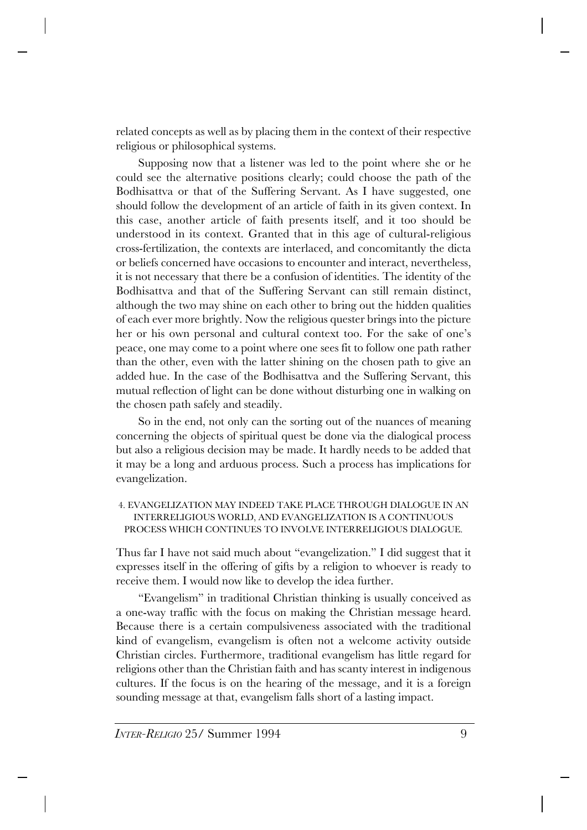related concepts as well as by placing them in the context of their respective religious or philosophical systems.

Supposing now that a listener was led to the point where she or he could see the alternative positions clearly; could choose the path of the Bodhisattva or that of the Suffering Servant. As I have suggested, one should follow the development of an article of faith in its given context. In this case, another article of faith presents itself, and it too should be understood in its context. Granted that in this age of cultural-religious cross-fertilization, the contexts are interlaced, and concomitantly the dicta or beliefs concerned have occasions to encounter and interact, nevertheless, it is not necessary that there be a confusion of identities. The identity of the Bodhisattva and that of the Suffering Servant can still remain distinct, although the two may shine on each other to bring out the hidden qualities of each ever more brightly. Now the religious quester brings into the picture her or his own personal and cultural context too. For the sake of one's peace, one may come to a point where one sees fit to follow one path rather than the other, even with the latter shining on the chosen path to give an added hue. In the case of the Bodhisattva and the Suffering Servant, this mutual reflection of light can be done without disturbing one in walking on the chosen path safely and steadily.

So in the end, not only can the sorting out of the nuances of meaning concerning the objects of spiritual quest be done via the dialogical process but also a religious decision may be made. It hardly needs to be added that it may be a long and arduous process. Such a process has implications for evangelization.

4. EVANGELIZATION MAY INDEED TAKE PLACE THROUGH DIALOGUE IN AN INTERRELIGIOUS WORLD, AND EVANGELIZATION IS A CONTINUOUS PROCESS WHICH CONTINUES TO INVOLVE INTERRELIGIOUS DIALOGUE.

Thus far I have not said much about "evangelization." I did suggest that it expresses itself in the offering of gifts by a religion to whoever is ready to receive them. I would now like to develop the idea further.

"Evangelism" in traditional Christian thinking is usually conceived as a one-way traffic with the focus on making the Christian message heard. Because there is a certain compulsiveness associated with the traditional kind of evangelism, evangelism is often not a welcome activity outside Christian circles. Furthermore, traditional evangelism has little regard for religions other than the Christian faith and has scanty interest in indigenous cultures. If the focus is on the hearing of the message, and it is a foreign sounding message at that, evangelism falls short of a lasting impact.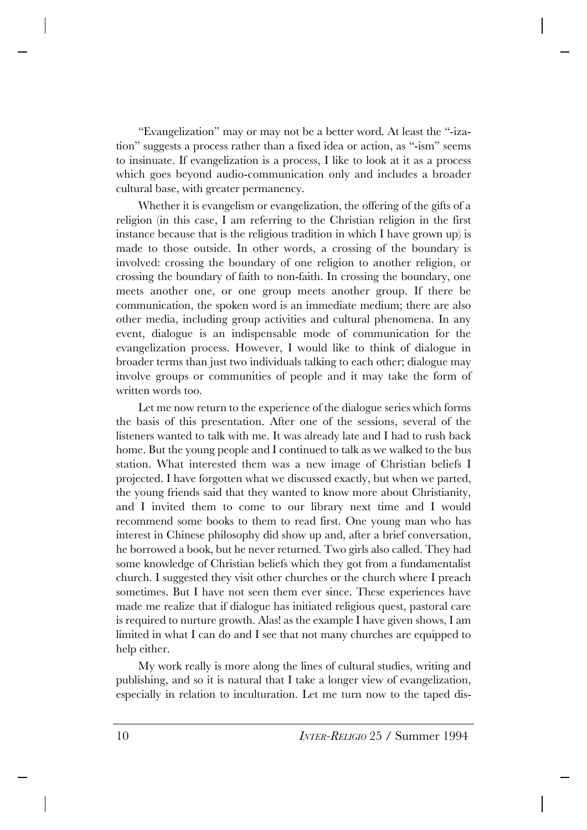"Evangelization" may or may not be a better word. At least the "-ization" suggests a process rather than a fixed idea or action, as "-ism" seems to insinuate. If evangelization is a process, I like to look at it as a process which goes beyond audio-communication only and includes a broader cultural base, with greater permanency.

Whether it is evangelism or evangelization, the offering of the gifts of a religion (in this case, I am referring to the Christian religion in the first instance because that is the religious tradition in which I have grown up) is made to those outside. In other words, a crossing of the boundary is involved: crossing the boundary of one religion to another religion, or crossing the boundary of faith to non-faith. In crossing the boundary, one meets another one, or one group meets another group. If there be communication, the spoken word is an immediate medium; there are also other media, including group activities and cultural phenomena. In any event, dialogue is an indispensable mode of communication for the evangelization process. However, I would like to think of dialogue in broader terms than just two individuals talking to each other; dialogue may involve groups or communities of people and it may take the form of written words too.

Let me now return to the experience of the dialogue series which forms the basis of this presentation. After one of the sessions, several of the listeners wanted to talk with me. It was already late and I had to rush back home. But the young people and I continued to talk as we walked to the bus station. What interested them was a new image of Christian beliefs I projected. I have forgotten what we discussed exactly, but when we parted, the young friends said that they wanted to know more about Christianity, and I invited them to come to our library next time and I would recommend some books to them to read first. One young man who has interest in Chinese philosophy did show up and, after a brief conversation, he borrowed a book, but he never returned. Two girls also called. They had some knowledge of Christian beliefs which they got from a fundamentalist church. I suggested they visit other churches or the church where I preach sometimes. But I have not seen them ever since. These experiences have made me realize that if dialogue has initiated religious quest, pastoral care is required to nurture growth. Alas! as the example I have given shows, I am limited in what I can do and I see that not many churches are equipped to help either.

My work really is more along the lines of cultural studies, writing and publishing, and so it is natural that I take a longer view of evangelization, especially in relation to inculturation. Let me turn now to the taped dis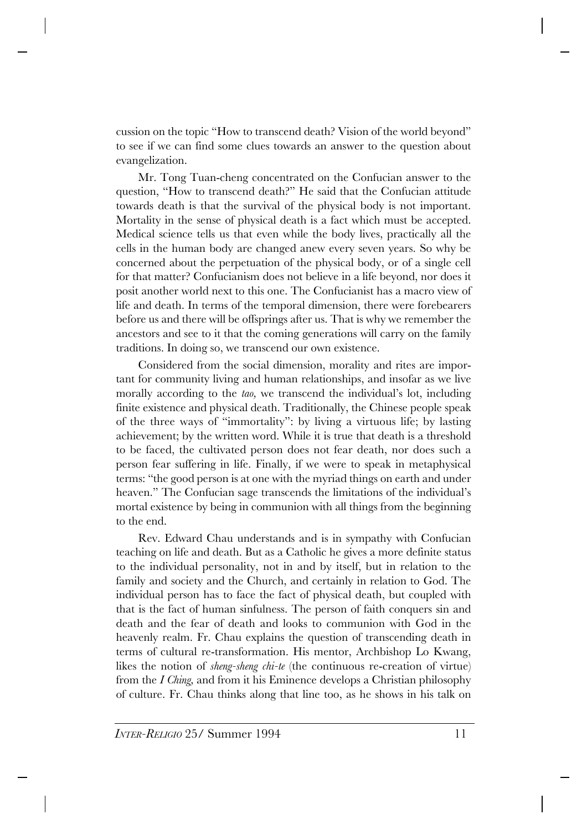cussion on the topic "How to transcend death? Vision of the world beyond" to see if we can find some clues towards an answer to the question about evangelization.

Mr. Tong Tuan-cheng concentrated on the Confucian answer to the question, "How to transcend death?" He said that the Confucian attitude towards death is that the survival of the physical body is not important. Mortality in the sense of physical death is a fact which must be accepted. Medical science tells us that even while the body lives, practically all the cells in the human body are changed anew every seven years. So why be concerned about the perpetuation of the physical body, or of a single cell for that matter? Confucianism does not believe in a life beyond, nor does it posit another world next to this one. The Confucianist has a macro view of life and death. In terms of the temporal dimension, there were forebearers before us and there will be offsprings after us. That is why we remember the ancestors and see to it that the coming generations will carry on the family traditions. In doing so, we transcend our own existence.

Considered from the social dimension, morality and rites are important for community living and human relationships, and insofar as we live morally according to the *tao,* we transcend the individual's lot, including finite existence and physical death. Traditionally, the Chinese people speak of the three ways of "immortality": by living a virtuous life; by lasting achievement; by the written word. While it is true that death is a threshold to be faced, the cultivated person does not fear death, nor does such a person fear suffering in life. Finally, if we were to speak in metaphysical terms: "the good person is at one with the myriad things on earth and under heaven." The Confucian sage transcends the limitations of the individual's mortal existence by being in communion with all things from the beginning to the end.

Rev. Edward Chau understands and is in sympathy with Confucian teaching on life and death. But as a Catholic he gives a more definite status to the individual personality, not in and by itself, but in relation to the family and society and the Church, and certainly in relation to God. The individual person has to face the fact of physical death, but coupled with that is the fact of human sinfulness. The person of faith conquers sin and death and the fear of death and looks to communion with God in the heavenly realm. Fr. Chau explains the question of transcending death in terms of cultural re-transformation. His mentor, Archbishop Lo Kwang, likes the notion of *sheng-sheng chi-te* (the continuous re-creation of virtue) from the *I Ching,* and from it his Eminence develops a Christian philosophy of culture. Fr. Chau thinks along that line too, as he shows in his talk on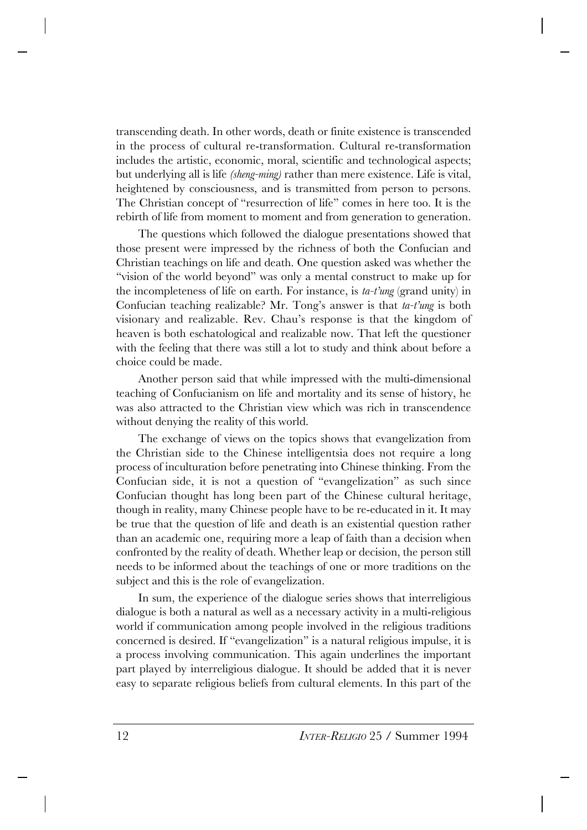transcending death. In other words, death or finite existence is transcended in the process of cultural re-transformation. Cultural re-transformation includes the artistic, economic, moral, scientific and technological aspects; but underlying all is life *(sheng-ming)* rather than mere existence. Life is vital, heightened by consciousness, and is transmitted from person to persons. The Christian concept of "resurrection of life" comes in here too. It is the rebirth of life from moment to moment and from generation to generation.

The questions which followed the dialogue presentations showed that those present were impressed by the richness of both the Confucian and Christian teachings on life and death. One question asked was whether the "vision of the world beyond" was only a mental construct to make up for the incompleteness of life on earth. For instance, is *ta-t'ung* (grand unity) in Confucian teaching realizable? Mr. Tong's answer is that *ta-t'ung* is both visionary and realizable. Rev. Chau's response is that the kingdom of heaven is both eschatological and realizable now. That left the questioner with the feeling that there was still a lot to study and think about before a choice could be made.

Another person said that while impressed with the multi-dimensional teaching of Confucianism on life and mortality and its sense of history, he was also attracted to the Christian view which was rich in transcendence without denying the reality of this world.

The exchange of views on the topics shows that evangelization from the Christian side to the Chinese intelligentsia does not require a long process of inculturation before penetrating into Chinese thinking. From the Confucian side, it is not a question of "evangelization" as such since Confucian thought has long been part of the Chinese cultural heritage, though in reality, many Chinese people have to be re-educated in it. It may be true that the question of life and death is an existential question rather than an academic one, requiring more a leap of faith than a decision when confronted by the reality of death. Whether leap or decision, the person still needs to be informed about the teachings of one or more traditions on the subject and this is the role of evangelization.

In sum, the experience of the dialogue series shows that interreligious dialogue is both a natural as well as a necessary activity in a multi-religious world if communication among people involved in the religious traditions concerned is desired. If "evangelization" is a natural religious impulse, it is a process involving communication. This again underlines the important part played by interreligious dialogue. It should be added that it is never easy to separate religious beliefs from cultural elements. In this part of the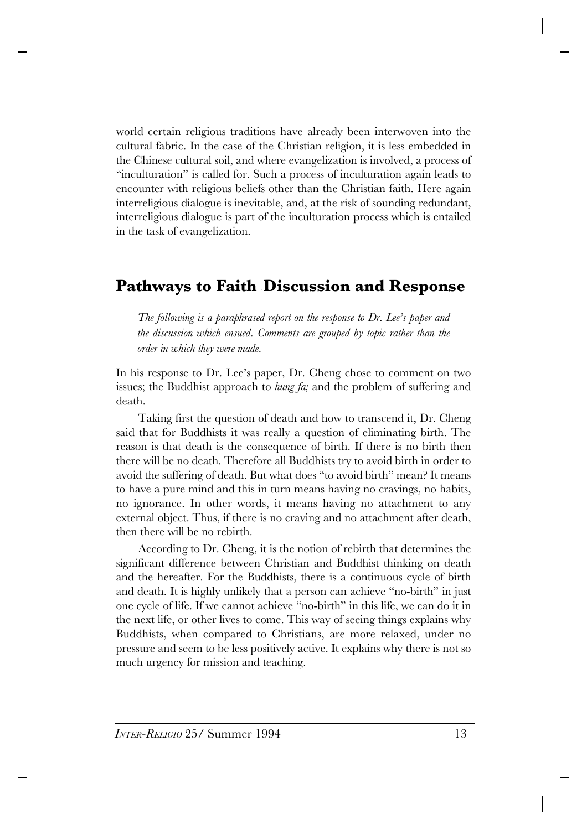world certain religious traditions have already been interwoven into the cultural fabric. In the case of the Christian religion, it is less embedded in the Chinese cultural soil, and where evangelization is involved, a process of "inculturation" is called for. Such a process of inculturation again leads to encounter with religious beliefs other than the Christian faith. Here again interreligious dialogue is inevitable, and, at the risk of sounding redundant, interreligious dialogue is part of the inculturation process which is entailed in the task of evangelization.

## **Pathways to Faith Discussion and Response**

*The following is a paraphrased report on the response to Dr. Lee's paper and the discussion which ensued. Comments are grouped by topic rather than the order in which they were made.*

In his response to Dr. Lee's paper, Dr. Cheng chose to comment on two issues; the Buddhist approach to *hung fa;* and the problem of suffering and death.

Taking first the question of death and how to transcend it, Dr. Cheng said that for Buddhists it was really a question of eliminating birth. The reason is that death is the consequence of birth. If there is no birth then there will be no death. Therefore all Buddhists try to avoid birth in order to avoid the suffering of death. But what does "to avoid birth" mean? It means to have a pure mind and this in turn means having no cravings, no habits, no ignorance. In other words, it means having no attachment to any external object. Thus, if there is no craving and no attachment after death, then there will be no rebirth.

According to Dr. Cheng, it is the notion of rebirth that determines the significant difference between Christian and Buddhist thinking on death and the hereafter. For the Buddhists, there is a continuous cycle of birth and death. It is highly unlikely that a person can achieve "no-birth" in just one cycle of life. If we cannot achieve "no-birth" in this life, we can do it in the next life, or other lives to come. This way of seeing things explains why Buddhists, when compared to Christians, are more relaxed, under no pressure and seem to be less positively active. It explains why there is not so much urgency for mission and teaching.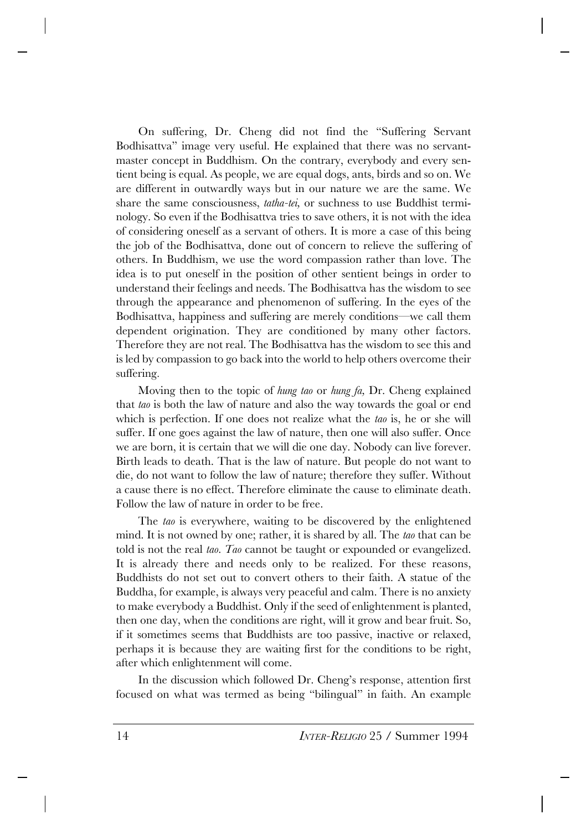On suffering, Dr. Cheng did not find the "Suffering Servant Bodhisattva" image very useful. He explained that there was no servantmaster concept in Buddhism. On the contrary, everybody and every sentient being is equal. As people, we are equal dogs, ants, birds and so on. We are different in outwardly ways but in our nature we are the same. We share the same consciousness, *tatha-tei,* or suchness to use Buddhist terminology. So even if the Bodhisattva tries to save others, it is not with the idea of considering oneself as a servant of others. It is more a case of this being the job of the Bodhisattva, done out of concern to relieve the suffering of others. In Buddhism, we use the word compassion rather than love. The idea is to put oneself in the position of other sentient beings in order to understand their feelings and needs. The Bodhisattva has the wisdom to see through the appearance and phenomenon of suffering. In the eyes of the Bodhisattva, happiness and suffering are merely conditions—we call them dependent origination. They are conditioned by many other factors. Therefore they are not real. The Bodhisattva has the wisdom to see this and is led by compassion to go back into the world to help others overcome their suffering.

Moving then to the topic of *hung tao* or *hung fa,* Dr. Cheng explained that *tao* is both the law of nature and also the way towards the goal or end which is perfection. If one does not realize what the *tao* is, he or she will suffer. If one goes against the law of nature, then one will also suffer. Once we are born, it is certain that we will die one day. Nobody can live forever. Birth leads to death. That is the law of nature. But people do not want to die, do not want to follow the law of nature; therefore they suffer. Without a cause there is no effect. Therefore eliminate the cause to eliminate death. Follow the law of nature in order to be free.

The *tao* is everywhere, waiting to be discovered by the enlightened mind. It is not owned by one; rather, it is shared by all. The *tao* that can be told is not the real *tao. Tao* cannot be taught or expounded or evangelized. It is already there and needs only to be realized. For these reasons, Buddhists do not set out to convert others to their faith. A statue of the Buddha, for example, is always very peaceful and calm. There is no anxiety to make everybody a Buddhist. Only if the seed of enlightenment is planted, then one day, when the conditions are right, will it grow and bear fruit. So, if it sometimes seems that Buddhists are too passive, inactive or relaxed, perhaps it is because they are waiting first for the conditions to be right, after which enlightenment will come.

In the discussion which followed Dr. Cheng's response, attention first focused on what was termed as being "bilingual" in faith. An example